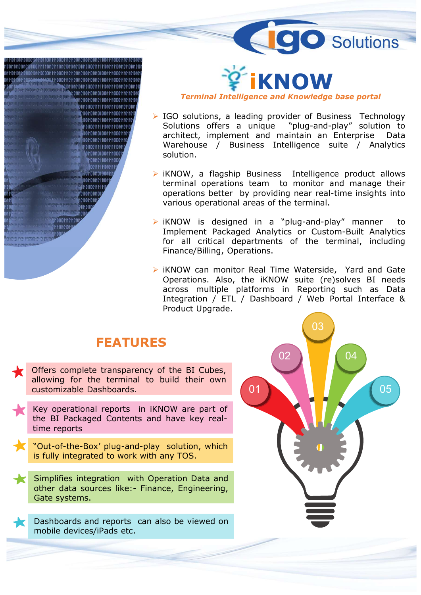



- solution. **Example 18 The Control Control Control Control Control Control Solutions, a leading provider of Business Technology Solutions offers a unique "plug-and-play" solution to architect, implement and maintain an Enterprise Dat**
- 
- 
- **Follow Solutions**<br> **Example 18 Transformal Intelligence and Knowledge base portal**<br> **Examplement and maintain an Enterprise** Data<br>
Warehouse / Business Intelligence suite / Analytics<br>
solution.<br> **EXECUTE:** We<br>
Wave Waters **Terminal Intelligence and Knowledge base portal**<br>
IGO solutions, a leading provider of Business Technology<br>
Solutions offers a unique "plug-and-play" solution to<br>
architect, implement and maintain an Enterprise Data<br>
Ware IGO solutions, a leading provider of Business Technology<br>Solutions offers a unique "plug-and-play" solution to<br>architect, implement and maintain an Enterprise Data<br>Warehouse / Business Intelligence suite / Analytics<br>soluti IGO solutions, a leading provider of Business Technology<br>
Solutions offers a unique "plug-and-play" solution to<br>
architect, implement and maintain an Enterprise Data<br>
Warehouse / Business Intelligence suite / Analytics<br>
so Solutions offers a unique "plug-and-play" solution to<br>architect, implement and maintain an Enterprise Data<br>Warehouse / Business Intelligence suite / Analytics<br>solution.<br>iKNOW, a flagship Business Intelligence product allow

## FEATURES